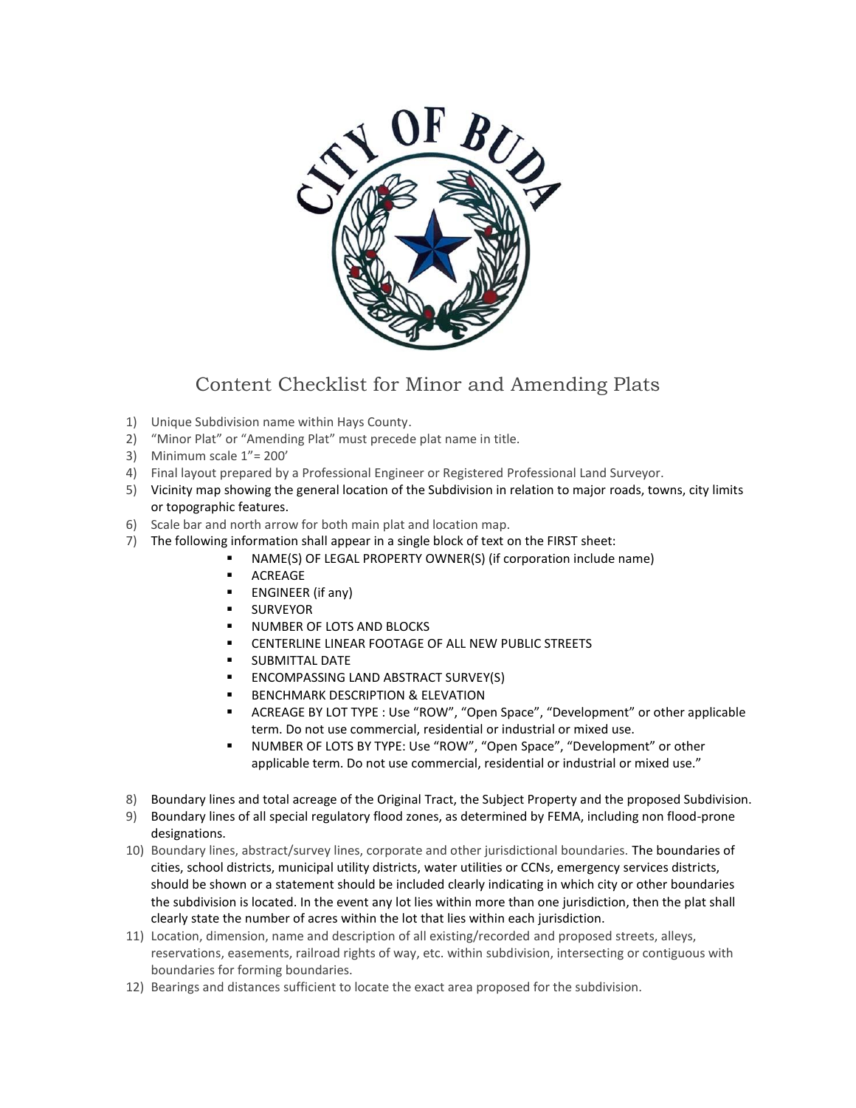

## Content Checklist for Minor and Amending Plats

- 1) Unique Subdivision name within Hays County.
- 2) "Minor Plat" or "Amending Plat" must precede plat name in title.
- 3) Minimum scale 1"= 200'
- 4) Final layout prepared by a Professional Engineer or Registered Professional Land Surveyor.
- 5) Vicinity map showing the general location of the Subdivision in relation to major roads, towns, city limits or topographic features.
- 6) Scale bar and north arrow for both main plat and location map.
- 7) The following information shall appear in a single block of text on the FIRST sheet:
	- NAME(S) OF LEGAL PROPERTY OWNER(S) (if corporation include name)
	- **ACREAGE**
	- ENGINEER (if any)
	- **SURVEYOR**
	- **NUMBER OF LOTS AND BLOCKS**
	- CENTERLINE LINEAR FOOTAGE OF ALL NEW PUBLIC STREETS
	- **SUBMITTAL DATE**
	- ENCOMPASSING LAND ABSTRACT SURVEY(S)
	- BENCHMARK DESCRIPTION & ELEVATION
	- ACREAGE BY LOT TYPE : Use "ROW", "Open Space", "Development" or other applicable term. Do not use commercial, residential or industrial or mixed use.
	- NUMBER OF LOTS BY TYPE: Use "ROW", "Open Space", "Development" or other applicable term. Do not use commercial, residential or industrial or mixed use."
- 8) Boundary lines and total acreage of the Original Tract, the Subject Property and the proposed Subdivision.
- 9) Boundary lines of all special regulatory flood zones, as determined by FEMA, including non flood-prone designations.
- 10) Boundary lines, abstract/survey lines, corporate and other jurisdictional boundaries. The boundaries of cities, school districts, municipal utility districts, water utilities or CCNs, emergency services districts, should be shown or a statement should be included clearly indicating in which city or other boundaries the subdivision is located. In the event any lot lies within more than one jurisdiction, then the plat shall clearly state the number of acres within the lot that lies within each jurisdiction.
- 11) Location, dimension, name and description of all existing/recorded and proposed streets, alleys, reservations, easements, railroad rights of way, etc. within subdivision, intersecting or contiguous with boundaries for forming boundaries.
- 12) Bearings and distances sufficient to locate the exact area proposed for the subdivision.